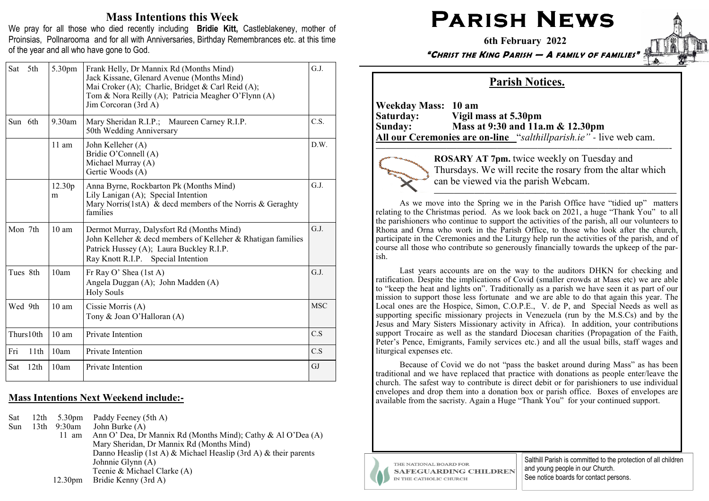## Mass Intentions this Week

We pray for all those who died recently including Bridie Kitt, Castleblakeney, mother of Proinsias, Pollnarooma and for all with Anniversaries, Birthday Remembrances etc. at this time of the year and all who have gone to God.

| Sat       | 5th<br>5.30pm   | Frank Helly, Dr Mannix Rd (Months Mind)<br>Jack Kissane, Glenard Avenue (Months Mind)<br>Mai Croker (A); Charlie, Bridget & Carl Reid (A);<br>Tom & Nora Reilly (A); Patricia Meagher O'Flynn (A)<br>Jim Corcoran (3rd A) | G.J.       |
|-----------|-----------------|---------------------------------------------------------------------------------------------------------------------------------------------------------------------------------------------------------------------------|------------|
| Sun 6th   | 9.30am          | Mary Sheridan R.I.P.; Maureen Carney R.I.P.<br>50th Wedding Anniversary                                                                                                                                                   | C.S.       |
|           | $11$ am         | John Kelleher (A)<br>Bridie O'Connell (A)<br>Michael Murray (A)<br>Gertie Woods (A)                                                                                                                                       | D.W.       |
|           | 12.30p<br>m     | Anna Byrne, Rockbarton Pk (Months Mind)<br>Lily Lanigan (A); Special Intention<br>Mary Norris(1stA) & decd members of the Norris & Geraghty<br>families                                                                   | G.J.       |
| Mon 7th   | $10 \text{ am}$ | Dermot Murray, Dalysfort Rd (Months Mind)<br>John Kelleher & decd members of Kelleher & Rhatigan families<br>Patrick Hussey (A); Laura Buckley R.I.P.<br>Ray Knott R.I.P. Special Intention                               | G.J.       |
| Tues 8th  | 10am            | Fr Ray O' Shea (1st A)<br>Angela Duggan (A); John Madden (A)<br><b>Holy Souls</b>                                                                                                                                         | G.J.       |
| Wed 9th   | $10 \text{ am}$ | Cissie Morris (A)<br>Tony & Joan O'Halloran (A)                                                                                                                                                                           | <b>MSC</b> |
| Thurs10th | $10 \text{ am}$ | Private Intention                                                                                                                                                                                                         | C.S        |
| Fri       | 11th<br>10am    | Private Intention                                                                                                                                                                                                         | C.S        |
| Sat       | 12th<br>10am    | Private Intention                                                                                                                                                                                                         | GJ         |

## Mass Intentions Next Weekend include:**-**

| Sat | 12th             |                     | 5.30pm Paddy Feeney (5th A)                                     |
|-----|------------------|---------------------|-----------------------------------------------------------------|
| Sun | 13 <sup>th</sup> | 9:30am              | John Burke $(A)$                                                |
|     |                  | 11 am               | Ann O' Dea, Dr Mannix Rd (Months Mind); Cathy & Al O'Dea (A)    |
|     |                  |                     | Mary Sheridan, Dr Mannix Rd (Months Mind)                       |
|     |                  |                     | Danno Heaslip (1st A) & Michael Heaslip (3rd A) & their parents |
|     |                  |                     | Johnnie Glynn (A)                                               |
|     |                  |                     | Teenie & Michael Clarke (A)                                     |
|     |                  | 12.30 <sub>pm</sub> | Bridie Kenny (3rd A)                                            |

## PARISH NEWS

6th February 2022

"CHRIST THE KING PARISH — A FAMILY OF FAMILIES"



## Parish Notices.

Weekday Mass: 10 am Saturday: Vigil mass at 5.30pm Sunday: Mass at 9:30 and 11a.m & 12.30pm All our Ceremonies are on**-**line "salthillparish.ie" *-* live web cam.

—————————————————————————————-

ROSARY AT 7pm. twice weekly on Tuesday and Thursdays. We will recite the rosary from the altar which can be viewed via the parish Webcam.

 As we move into the Spring we in the Parish Office have "tidied up" matters relating to the Christmas period. As we look back on 2021, a huge "Thank You" to all the parishioners who continue to support the activities of the parish, all our volunteers to Rhona and Orna who work in the Parish Office, to those who look after the church, participate in the Ceremonies and the Liturgy help run the activities of the parish, and of course all those who contribute so generously financially towards the upkeep of the parish.

Last years accounts are on the way to the auditors DHKN for checking and ratification. Despite the implications of Covid (smaller crowds at Mass etc) we are able to "keep the heat and lights on". Traditionally as a parish we have seen it as part of our mission to support those less fortunate and we are able to do that again this year. The Local ones are the Hospice, Simon, C.O.P.E., V. de P, and Special Needs as well as supporting specific missionary projects in Venezuela (run by the M.S.Cs) and by the Jesus and Mary Sisters Missionary activity in Africa). In addition, your contributions support Trocaire as well as the standard Diocesan charities (Propagation of the Faith, Peter's Pence, Emigrants, Family services etc.) and all the usual bills, staff wages and liturgical expenses etc.

Because of Covid we do not "pass the basket around during Mass" as has been traditional and we have replaced that practice with donations as people enter/leave the church. The safest way to contribute is direct debit or for parishioners to use individual envelopes and drop them into a donation box or parish office. Boxes of envelopes are available from the sacristy. Again a Huge "Thank You" for your continued support.



THE NATIONAL BOARD FOR **SAFEGUARDING CHILDREN** IN THE CATHOLIC CHURCH

Salthill Parish is committed to the protection of all children and young people in our Church. See notice boards for contact persons.